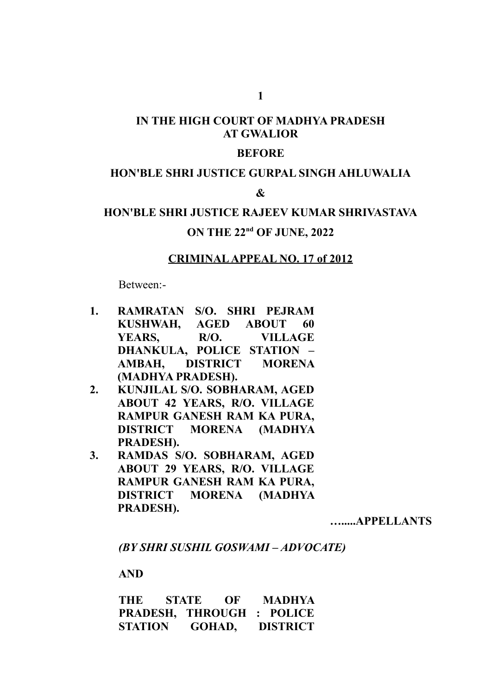# **IN THE HIGH COURT OF MADHYA PRADESH AT GWALIOR**

#### **BEFORE**

#### **HON'BLE SHRI JUSTICE GURPAL SINGH AHLUWALIA**

#### **&**

# **HON'BLE SHRI JUSTICE RAJEEV KUMAR SHRIVASTAVA ON THE 22nd OF JUNE, 2022**

#### **CRIMINAL APPEAL NO. 17 of 2012**

Between:-

- **1. RAMRATAN S/O. SHRI PEJRAM KUSHWAH, AGED ABOUT 60 YEARS, R/O. VILLAGE DHANKULA, POLICE STATION – AMBAH, DISTRICT MORENA (MADHYA PRADESH).**
- **2. KUNJILAL S/O. SOBHARAM, AGED ABOUT 42 YEARS, R/O. VILLAGE RAMPUR GANESH RAM KA PURA, DISTRICT MORENA (MADHYA PRADESH).**
- **3. RAMDAS S/O. SOBHARAM, AGED ABOUT 29 YEARS, R/O. VILLAGE RAMPUR GANESH RAM KA PURA, DISTRICT MORENA (MADHYA PRADESH).**

**….....APPELLANTS**

*(BY SHRI SUSHIL GOSWAMI – ADVOCATE)*

**AND**

| THE                              | <b>STATE</b> | $\Omega$ | <b>MADHYA</b>   |
|----------------------------------|--------------|----------|-----------------|
| <b>PRADESH, THROUGH : POLICE</b> |              |          |                 |
| <b>STATION</b>                   | GOHAD,       |          | <b>DISTRICT</b> |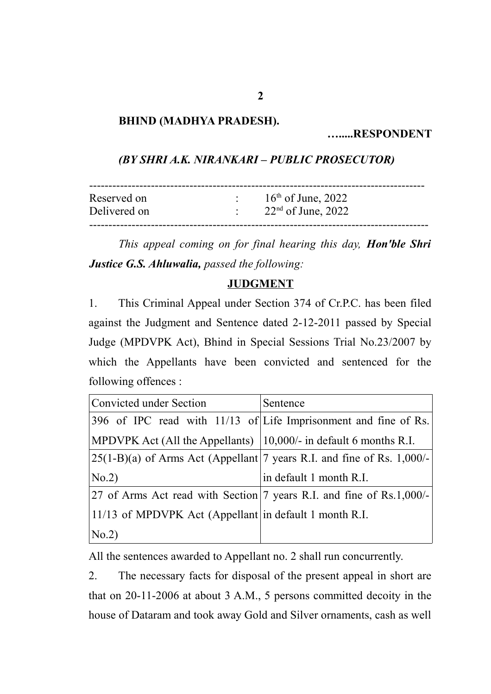# **BHIND (MADHYA PRADESH).**

**….....RESPONDENT**

#### *(BY SHRI A.K. NIRANKARI – PUBLIC PROSECUTOR)*

| Reserved on<br>Delivered on | $\mathcal{O}(\mathcal{O}_\mathcal{O})$ . | $16th$ of June, 2022<br>$\therefore$ 22 <sup>nd</sup> of June, 2022 |  |
|-----------------------------|------------------------------------------|---------------------------------------------------------------------|--|
|                             |                                          |                                                                     |  |

*This appeal coming on for final hearing this day, Hon'ble Shri Justice G.S. Ahluwalia, passed the following:*

### **JUDGMENT**

1. This Criminal Appeal under Section 374 of Cr.P.C. has been filed against the Judgment and Sentence dated 2-12-2011 passed by Special Judge (MPDVPK Act), Bhind in Special Sessions Trial No.23/2007 by which the Appellants have been convicted and sentenced for the following offences :

| Convicted under Section                                                     | Sentence                                                                      |  |  |
|-----------------------------------------------------------------------------|-------------------------------------------------------------------------------|--|--|
|                                                                             | 396 of IPC read with 11/13 of Life Imprisonment and fine of Rs.               |  |  |
| MPDVPK Act (All the Appellants) $ 10,000\rangle$ - in default 6 months R.I. |                                                                               |  |  |
|                                                                             | $ 25(1-B)(a)$ of Arms Act (Appellant 7 years R.I. and fine of Rs. 1,000/-     |  |  |
| $\rm{No.2}$                                                                 | in default 1 month R.I.                                                       |  |  |
|                                                                             | 27 of Arms Act read with Section $\sqrt{7}$ years R.I. and fine of Rs.1,000/- |  |  |
| $ 11/13$ of MPDVPK Act (Appellant in default 1 month R.I.                   |                                                                               |  |  |
| NO.2)                                                                       |                                                                               |  |  |

All the sentences awarded to Appellant no. 2 shall run concurrently.

2. The necessary facts for disposal of the present appeal in short are that on 20-11-2006 at about 3 A.M., 5 persons committed decoity in the house of Dataram and took away Gold and Silver ornaments, cash as well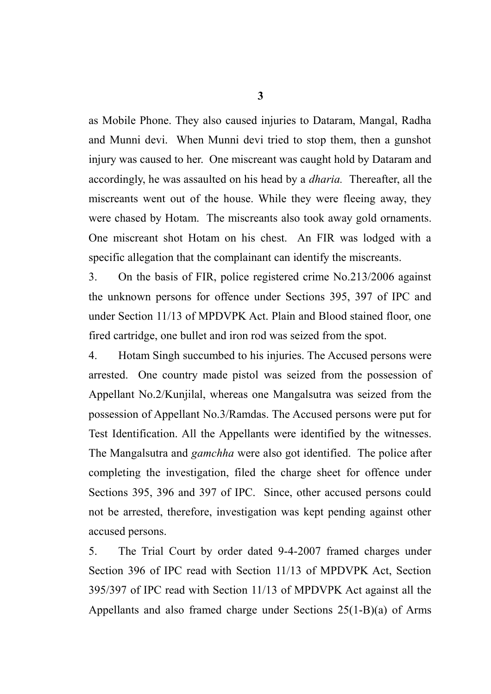as Mobile Phone. They also caused injuries to Dataram, Mangal, Radha and Munni devi. When Munni devi tried to stop them, then a gunshot injury was caused to her. One miscreant was caught hold by Dataram and accordingly, he was assaulted on his head by a *dharia.* Thereafter, all the miscreants went out of the house. While they were fleeing away, they were chased by Hotam. The miscreants also took away gold ornaments. One miscreant shot Hotam on his chest. An FIR was lodged with a specific allegation that the complainant can identify the miscreants.

3. On the basis of FIR, police registered crime No.213/2006 against the unknown persons for offence under Sections 395, 397 of IPC and under Section 11/13 of MPDVPK Act. Plain and Blood stained floor, one fired cartridge, one bullet and iron rod was seized from the spot.

4. Hotam Singh succumbed to his injuries. The Accused persons were arrested. One country made pistol was seized from the possession of Appellant No.2/Kunjilal, whereas one Mangalsutra was seized from the possession of Appellant No.3/Ramdas. The Accused persons were put for Test Identification. All the Appellants were identified by the witnesses. The Mangalsutra and *gamchha* were also got identified. The police after completing the investigation, filed the charge sheet for offence under Sections 395, 396 and 397 of IPC. Since, other accused persons could not be arrested, therefore, investigation was kept pending against other accused persons.

5. The Trial Court by order dated 9-4-2007 framed charges under Section 396 of IPC read with Section 11/13 of MPDVPK Act, Section 395/397 of IPC read with Section 11/13 of MPDVPK Act against all the Appellants and also framed charge under Sections 25(1-B)(a) of Arms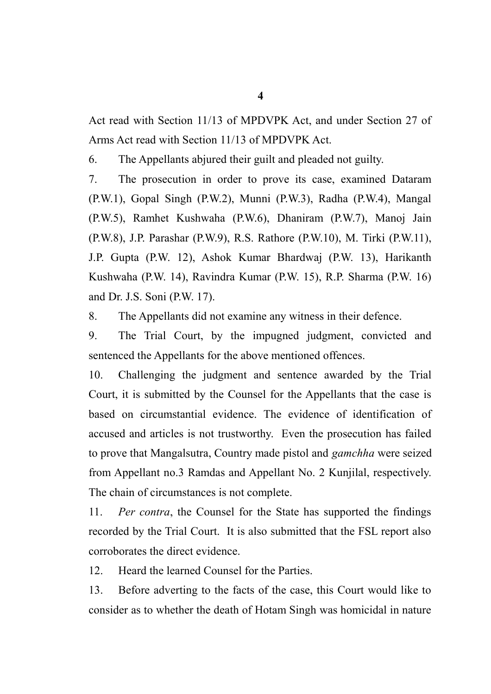Act read with Section 11/13 of MPDVPK Act, and under Section 27 of Arms Act read with Section 11/13 of MPDVPK Act.

6. The Appellants abjured their guilt and pleaded not guilty.

7. The prosecution in order to prove its case, examined Dataram (P.W.1), Gopal Singh (P.W.2), Munni (P.W.3), Radha (P.W.4), Mangal (P.W.5), Ramhet Kushwaha (P.W.6), Dhaniram (P.W.7), Manoj Jain (P.W.8), J.P. Parashar (P.W.9), R.S. Rathore (P.W.10), M. Tirki (P.W.11), J.P. Gupta (P.W. 12), Ashok Kumar Bhardwaj (P.W. 13), Harikanth Kushwaha (P.W. 14), Ravindra Kumar (P.W. 15), R.P. Sharma (P.W. 16) and Dr. J.S. Soni (P.W. 17).

8. The Appellants did not examine any witness in their defence.

9. The Trial Court, by the impugned judgment, convicted and sentenced the Appellants for the above mentioned offences.

10. Challenging the judgment and sentence awarded by the Trial Court, it is submitted by the Counsel for the Appellants that the case is based on circumstantial evidence. The evidence of identification of accused and articles is not trustworthy. Even the prosecution has failed to prove that Mangalsutra, Country made pistol and *gamchha* were seized from Appellant no.3 Ramdas and Appellant No. 2 Kunjilal, respectively. The chain of circumstances is not complete.

11. *Per contra*, the Counsel for the State has supported the findings recorded by the Trial Court. It is also submitted that the FSL report also corroborates the direct evidence.

12. Heard the learned Counsel for the Parties.

13. Before adverting to the facts of the case, this Court would like to consider as to whether the death of Hotam Singh was homicidal in nature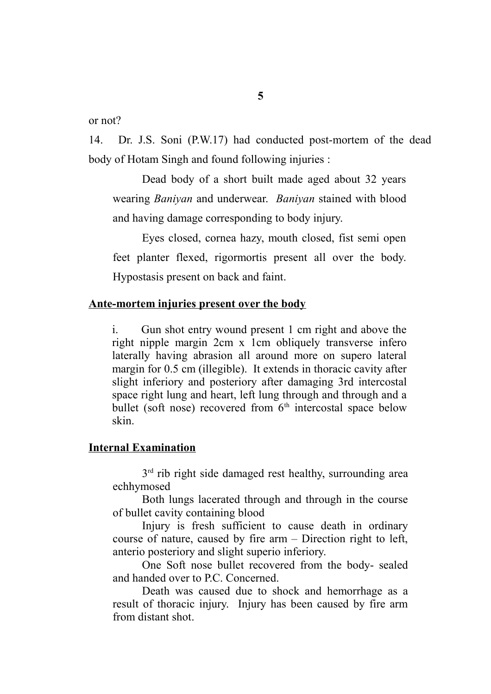or not?

14. Dr. J.S. Soni (P.W.17) had conducted post-mortem of the dead body of Hotam Singh and found following injuries :

Dead body of a short built made aged about 32 years wearing *Baniyan* and underwear. *Baniyan* stained with blood and having damage corresponding to body injury.

Eyes closed, cornea hazy, mouth closed, fist semi open feet planter flexed, rigormortis present all over the body. Hypostasis present on back and faint.

#### **Ante-mortem injuries present over the body**

i. Gun shot entry wound present 1 cm right and above the right nipple margin 2cm x 1cm obliquely transverse infero laterally having abrasion all around more on supero lateral margin for 0.5 cm (illegible). It extends in thoracic cavity after slight inferiory and posteriory after damaging 3rd intercostal space right lung and heart, left lung through and through and a bullet (soft nose) recovered from  $6<sup>th</sup>$  intercostal space below skin.

#### **Internal Examination**

3<sup>rd</sup> rib right side damaged rest healthy, surrounding area echhymosed

Both lungs lacerated through and through in the course of bullet cavity containing blood

Injury is fresh sufficient to cause death in ordinary course of nature, caused by fire arm – Direction right to left, anterio posteriory and slight superio inferiory.

One Soft nose bullet recovered from the body- sealed and handed over to P.C. Concerned.

Death was caused due to shock and hemorrhage as a result of thoracic injury. Injury has been caused by fire arm from distant shot.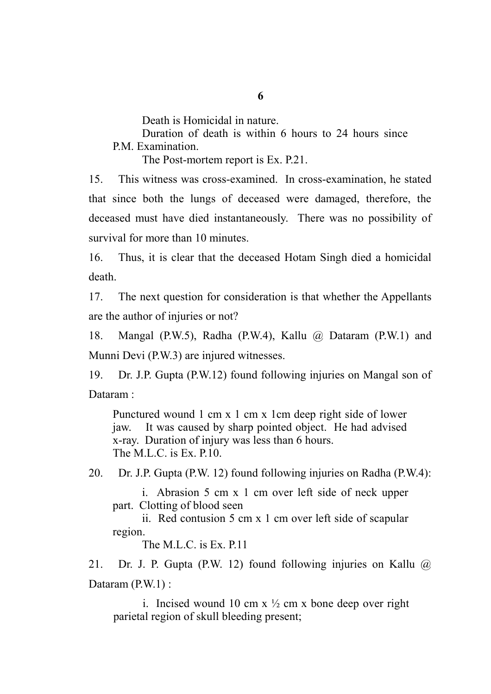Death is Homicidal in nature.

Duration of death is within 6 hours to 24 hours since P.M. Examination.

The Post-mortem report is Ex. P.21.

15. This witness was cross-examined. In cross-examination, he stated that since both the lungs of deceased were damaged, therefore, the deceased must have died instantaneously. There was no possibility of survival for more than 10 minutes.

16. Thus, it is clear that the deceased Hotam Singh died a homicidal death.

17. The next question for consideration is that whether the Appellants are the author of injuries or not?

18. Mangal (P.W.5), Radha (P.W.4), Kallu @ Dataram (P.W.1) and Munni Devi (P.W.3) are injured witnesses.

19. Dr. J.P. Gupta (P.W.12) found following injuries on Mangal son of Dataram ·

Punctured wound 1 cm x 1 cm x 1cm deep right side of lower jaw. It was caused by sharp pointed object. He had advised x-ray. Duration of injury was less than 6 hours. The M.L.C. is Ex. P.10.

20. Dr. J.P. Gupta (P.W. 12) found following injuries on Radha (P.W.4):

i. Abrasion 5 cm x 1 cm over left side of neck upper part. Clotting of blood seen

ii. Red contusion 5 cm x 1 cm over left side of scapular region.

The M.L.C. is Ex. P.11

21. Dr. J. P. Gupta (P.W. 12) found following injuries on Kallu @ Dataram (P.W.1) :

i. Incised wound 10 cm x  $\frac{1}{2}$  cm x bone deep over right parietal region of skull bleeding present;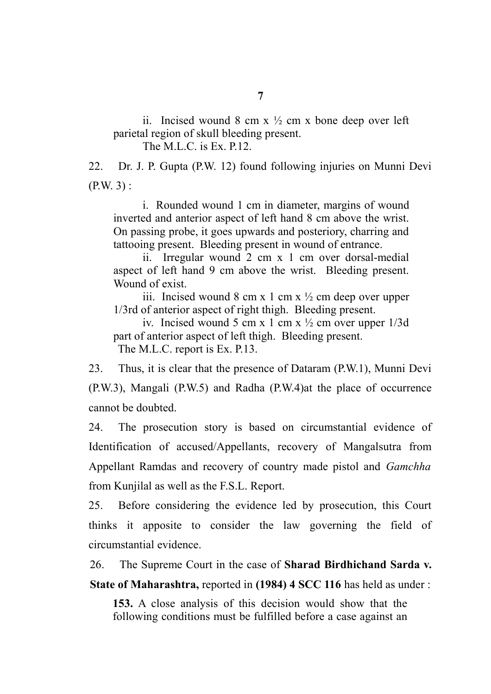ii. Incised wound 8 cm x  $\frac{1}{2}$  cm x bone deep over left parietal region of skull bleeding present.

The M.L.C. is Ex. P.12.

22. Dr. J. P. Gupta (P.W. 12) found following injuries on Munni Devi  $(P.W. 3)$ :

i. Rounded wound 1 cm in diameter, margins of wound inverted and anterior aspect of left hand 8 cm above the wrist. On passing probe, it goes upwards and posteriory, charring and tattooing present. Bleeding present in wound of entrance.

ii. Irregular wound 2 cm x 1 cm over dorsal-medial aspect of left hand 9 cm above the wrist. Bleeding present. Wound of exist.

iii. Incised wound 8 cm x 1 cm x  $\frac{1}{2}$  cm deep over upper 1/3rd of anterior aspect of right thigh. Bleeding present.

iv. Incised wound 5 cm x 1 cm x  $\frac{1}{2}$  cm over upper 1/3d part of anterior aspect of left thigh. Bleeding present. The M.L.C. report is Ex. P.13.

23. Thus, it is clear that the presence of Dataram (P.W.1), Munni Devi (P.W.3), Mangali (P.W.5) and Radha (P.W.4)at the place of occurrence cannot be doubted.

24. The prosecution story is based on circumstantial evidence of Identification of accused/Appellants, recovery of Mangalsutra from Appellant Ramdas and recovery of country made pistol and *Gamchha* from Kunjilal as well as the F.S.L. Report.

25. Before considering the evidence led by prosecution, this Court thinks it apposite to consider the law governing the field of circumstantial evidence.

26. The Supreme Court in the case of **Sharad Birdhichand Sarda v.**

**State of Maharashtra,** reported in **(1984) 4 SCC 116** has held as under :

**153.** A close analysis of this decision would show that the following conditions must be fulfilled before a case against an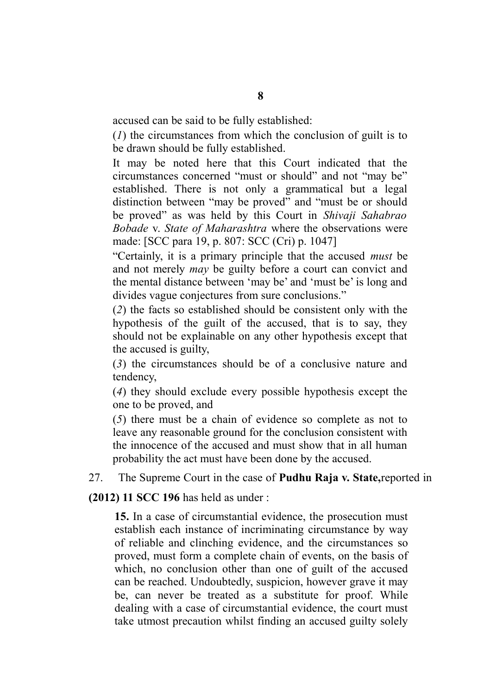accused can be said to be fully established:

(*1*) the circumstances from which the conclusion of guilt is to be drawn should be fully established.

It may be noted here that this Court indicated that the circumstances concerned "must or should" and not "may be" established. There is not only a grammatical but a legal distinction between "may be proved" and "must be or should be proved" as was held by this Court in *Shivaji Sahabrao Bobade* v. *State of Maharashtra* where the observations were made: [SCC para 19, p. 807: SCC (Cri) p. 1047]

"Certainly, it is a primary principle that the accused *must* be and not merely *may* be guilty before a court can convict and the mental distance between 'may be' and 'must be' is long and divides vague conjectures from sure conclusions."

(*2*) the facts so established should be consistent only with the hypothesis of the guilt of the accused, that is to say, they should not be explainable on any other hypothesis except that the accused is guilty,

(*3*) the circumstances should be of a conclusive nature and tendency,

(*4*) they should exclude every possible hypothesis except the one to be proved, and

(*5*) there must be a chain of evidence so complete as not to leave any reasonable ground for the conclusion consistent with the innocence of the accused and must show that in all human probability the act must have been done by the accused.

27. The Supreme Court in the case of **Pudhu Raja v. State,**reported in

**(2012) 11 SCC 196** has held as under :

**15.** In a case of circumstantial evidence, the prosecution must establish each instance of incriminating circumstance by way of reliable and clinching evidence, and the circumstances so proved, must form a complete chain of events, on the basis of which, no conclusion other than one of guilt of the accused can be reached. Undoubtedly, suspicion, however grave it may be, can never be treated as a substitute for proof. While dealing with a case of circumstantial evidence, the court must take utmost precaution whilst finding an accused guilty solely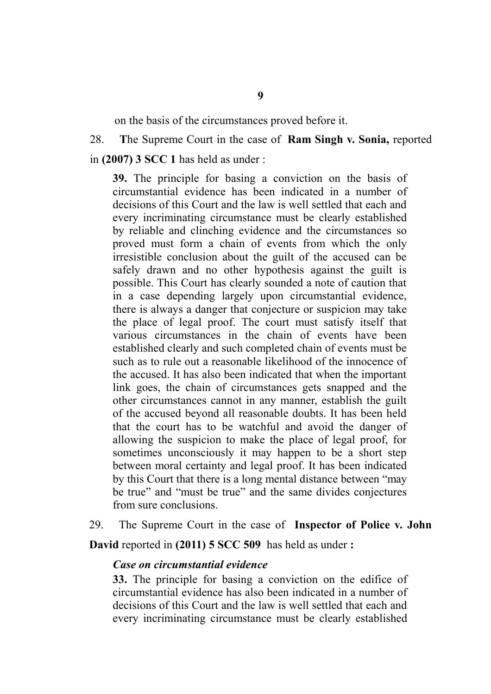on the basis of the circumstances proved before it.

28. **T**he Supreme Court in the case of **Ram Singh v. Sonia,** reported in **(2007) 3 SCC 1** has held as under :

**39.** The principle for basing a conviction on the basis of circumstantial evidence has been indicated in a number of decisions of this Court and the law is well settled that each and every incriminating circumstance must be clearly established by reliable and clinching evidence and the circumstances so proved must form a chain of events from which the only irresistible conclusion about the guilt of the accused can be safely drawn and no other hypothesis against the guilt is possible. This Court has clearly sounded a note of caution that in a case depending largely upon circumstantial evidence, there is always a danger that conjecture or suspicion may take the place of legal proof. The court must satisfy itself that various circumstances in the chain of events have been established clearly and such completed chain of events must be such as to rule out a reasonable likelihood of the innocence of the accused. It has also been indicated that when the important link goes, the chain of circumstances gets snapped and the other circumstances cannot in any manner, establish the guilt of the accused beyond all reasonable doubts. It has been held that the court has to be watchful and avoid the danger of allowing the suspicion to make the place of legal proof, for sometimes unconsciously it may happen to be a short step between moral certainty and legal proof. It has been indicated by this Court that there is a long mental distance between "may be true" and "must be true" and the same divides conjectures from sure conclusions.

29. The Supreme Court in the case of **Inspector of Police v. John**

**David** reported in **(2011) 5 SCC 509** has held as under **:** 

#### *Case on circumstantial evidence*

**33.** The principle for basing a conviction on the edifice of circumstantial evidence has also been indicated in a number of decisions of this Court and the law is well settled that each and every incriminating circumstance must be clearly established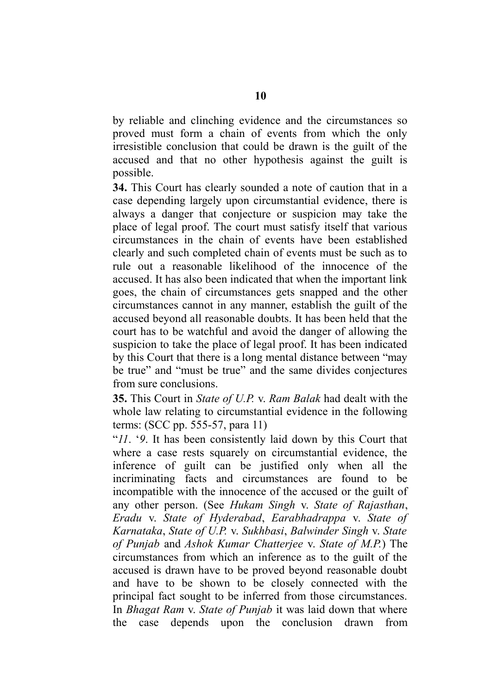by reliable and clinching evidence and the circumstances so proved must form a chain of events from which the only irresistible conclusion that could be drawn is the guilt of the accused and that no other hypothesis against the guilt is possible.

**34.** This Court has clearly sounded a note of caution that in a case depending largely upon circumstantial evidence, there is always a danger that conjecture or suspicion may take the place of legal proof. The court must satisfy itself that various circumstances in the chain of events have been established clearly and such completed chain of events must be such as to rule out a reasonable likelihood of the innocence of the accused. It has also been indicated that when the important link goes, the chain of circumstances gets snapped and the other circumstances cannot in any manner, establish the guilt of the accused beyond all reasonable doubts. It has been held that the court has to be watchful and avoid the danger of allowing the suspicion to take the place of legal proof. It has been indicated by this Court that there is a long mental distance between "may be true" and "must be true" and the same divides conjectures from sure conclusions.

**35.** This Court in *State of U.P.* v. *Ram Balak* had dealt with the whole law relating to circumstantial evidence in the following terms: (SCC pp. 555-57, para 11)

"*11*. '*9*. It has been consistently laid down by this Court that where a case rests squarely on circumstantial evidence, the inference of guilt can be justified only when all the incriminating facts and circumstances are found to be incompatible with the innocence of the accused or the guilt of any other person. (See *Hukam Singh* v. *State of Rajasthan*, *Eradu* v. *State of Hyderabad*, *Earabhadrappa* v. *State of Karnataka*, *State of U.P.* v. *Sukhbasi*, *Balwinder Singh* v. *State of Punjab* and *Ashok Kumar Chatterjee* v. *State of M.P.*) The circumstances from which an inference as to the guilt of the accused is drawn have to be proved beyond reasonable doubt and have to be shown to be closely connected with the principal fact sought to be inferred from those circumstances. In *Bhagat Ram* v. *State of Punjab* it was laid down that where the case depends upon the conclusion drawn from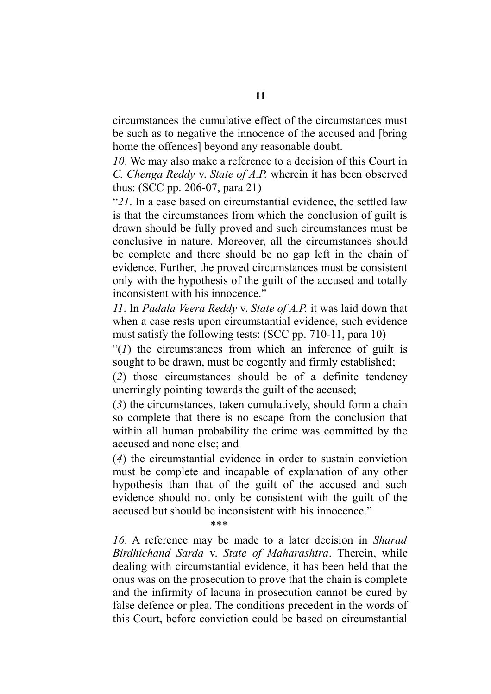circumstances the cumulative effect of the circumstances must be such as to negative the innocence of the accused and [bring home the offences] beyond any reasonable doubt.

*10*. We may also make a reference to a decision of this Court in *C. Chenga Reddy* v. *State of A.P.* wherein it has been observed thus: (SCC pp. 206-07, para 21)

"*21*. In a case based on circumstantial evidence, the settled law is that the circumstances from which the conclusion of guilt is drawn should be fully proved and such circumstances must be conclusive in nature. Moreover, all the circumstances should be complete and there should be no gap left in the chain of evidence. Further, the proved circumstances must be consistent only with the hypothesis of the guilt of the accused and totally inconsistent with his innocence."

*11*. In *Padala Veera Reddy* v. *State of A.P.* it was laid down that when a case rests upon circumstantial evidence, such evidence must satisfy the following tests: (SCC pp. 710-11, para 10)

"(*1*) the circumstances from which an inference of guilt is sought to be drawn, must be cogently and firmly established;

(*2*) those circumstances should be of a definite tendency unerringly pointing towards the guilt of the accused;

(*3*) the circumstances, taken cumulatively, should form a chain so complete that there is no escape from the conclusion that within all human probability the crime was committed by the accused and none else; and

(*4*) the circumstantial evidence in order to sustain conviction must be complete and incapable of explanation of any other hypothesis than that of the guilt of the accused and such evidence should not only be consistent with the guilt of the accused but should be inconsistent with his innocence."

\*\*\*

*16*. A reference may be made to a later decision in *Sharad Birdhichand Sarda* v. *State of Maharashtra*. Therein, while dealing with circumstantial evidence, it has been held that the onus was on the prosecution to prove that the chain is complete and the infirmity of lacuna in prosecution cannot be cured by false defence or plea. The conditions precedent in the words of this Court, before conviction could be based on circumstantial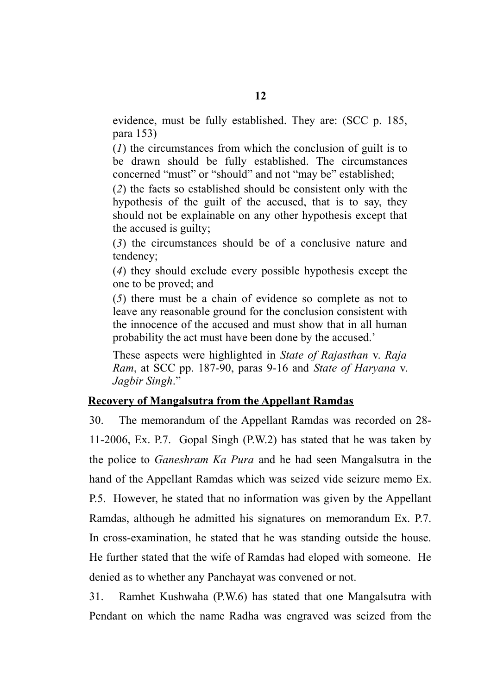evidence, must be fully established. They are: (SCC p. 185, para 153)

(*1*) the circumstances from which the conclusion of guilt is to be drawn should be fully established. The circumstances concerned "must" or "should" and not "may be" established;

(*2*) the facts so established should be consistent only with the hypothesis of the guilt of the accused, that is to say, they should not be explainable on any other hypothesis except that the accused is guilty;

(*3*) the circumstances should be of a conclusive nature and tendency;

(*4*) they should exclude every possible hypothesis except the one to be proved; and

(*5*) there must be a chain of evidence so complete as not to leave any reasonable ground for the conclusion consistent with the innocence of the accused and must show that in all human probability the act must have been done by the accused.'

These aspects were highlighted in *State of Rajasthan* v. *Raja Ram*, at SCC pp. 187-90, paras 9-16 and *State of Haryana* v. *Jagbir Singh*."

# **Recovery of Mangalsutra from the Appellant Ramdas**

30. The memorandum of the Appellant Ramdas was recorded on 28- 11-2006, Ex. P.7. Gopal Singh (P.W.2) has stated that he was taken by the police to *Ganeshram Ka Pura* and he had seen Mangalsutra in the hand of the Appellant Ramdas which was seized vide seizure memo Ex. P.5. However, he stated that no information was given by the Appellant Ramdas, although he admitted his signatures on memorandum Ex. P.7. In cross-examination, he stated that he was standing outside the house. He further stated that the wife of Ramdas had eloped with someone. He denied as to whether any Panchayat was convened or not.

31. Ramhet Kushwaha (P.W.6) has stated that one Mangalsutra with Pendant on which the name Radha was engraved was seized from the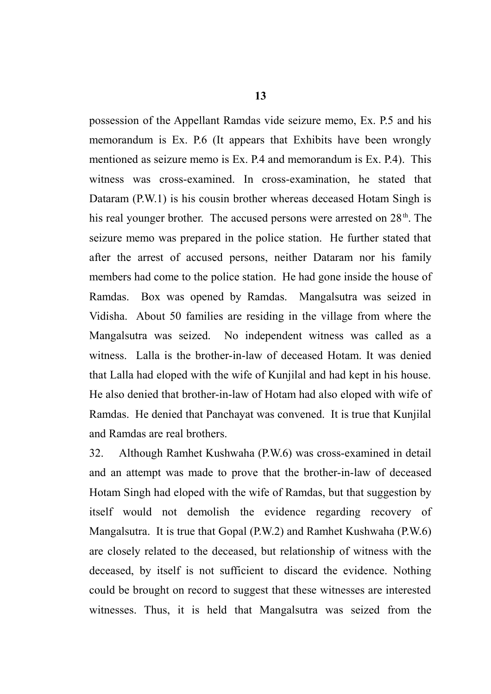possession of the Appellant Ramdas vide seizure memo, Ex. P.5 and his memorandum is Ex. P.6 (It appears that Exhibits have been wrongly mentioned as seizure memo is Ex. P.4 and memorandum is Ex. P.4). This witness was cross-examined. In cross-examination, he stated that Dataram (P.W.1) is his cousin brother whereas deceased Hotam Singh is his real younger brother. The accused persons were arrested on  $28<sup>th</sup>$ . The seizure memo was prepared in the police station. He further stated that after the arrest of accused persons, neither Dataram nor his family members had come to the police station. He had gone inside the house of Ramdas. Box was opened by Ramdas. Mangalsutra was seized in Vidisha. About 50 families are residing in the village from where the Mangalsutra was seized. No independent witness was called as a witness. Lalla is the brother-in-law of deceased Hotam. It was denied that Lalla had eloped with the wife of Kunjilal and had kept in his house. He also denied that brother-in-law of Hotam had also eloped with wife of Ramdas. He denied that Panchayat was convened. It is true that Kunjilal and Ramdas are real brothers.

32. Although Ramhet Kushwaha (P.W.6) was cross-examined in detail and an attempt was made to prove that the brother-in-law of deceased Hotam Singh had eloped with the wife of Ramdas, but that suggestion by itself would not demolish the evidence regarding recovery of Mangalsutra. It is true that Gopal (P.W.2) and Ramhet Kushwaha (P.W.6) are closely related to the deceased, but relationship of witness with the deceased, by itself is not sufficient to discard the evidence. Nothing could be brought on record to suggest that these witnesses are interested witnesses. Thus, it is held that Mangalsutra was seized from the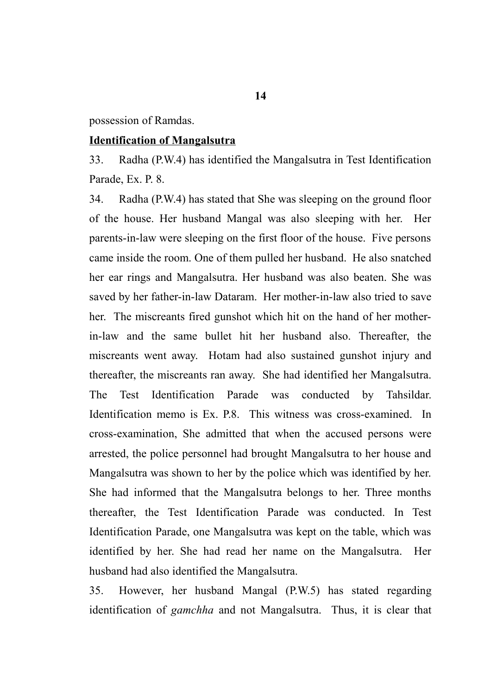possession of Ramdas.

#### **Identification of Mangalsutra**

33. Radha (P.W.4) has identified the Mangalsutra in Test Identification Parade, Ex. P. 8.

34. Radha (P.W.4) has stated that She was sleeping on the ground floor of the house. Her husband Mangal was also sleeping with her. Her parents-in-law were sleeping on the first floor of the house. Five persons came inside the room. One of them pulled her husband. He also snatched her ear rings and Mangalsutra. Her husband was also beaten. She was saved by her father-in-law Dataram. Her mother-in-law also tried to save her. The miscreants fired gunshot which hit on the hand of her motherin-law and the same bullet hit her husband also. Thereafter, the miscreants went away. Hotam had also sustained gunshot injury and thereafter, the miscreants ran away. She had identified her Mangalsutra. The Test Identification Parade was conducted by Tahsildar. Identification memo is Ex. P.8. This witness was cross-examined. In cross-examination, She admitted that when the accused persons were arrested, the police personnel had brought Mangalsutra to her house and Mangalsutra was shown to her by the police which was identified by her. She had informed that the Mangalsutra belongs to her. Three months thereafter, the Test Identification Parade was conducted. In Test Identification Parade, one Mangalsutra was kept on the table, which was identified by her. She had read her name on the Mangalsutra. Her husband had also identified the Mangalsutra.

35. However, her husband Mangal (P.W.5) has stated regarding identification of *gamchha* and not Mangalsutra. Thus, it is clear that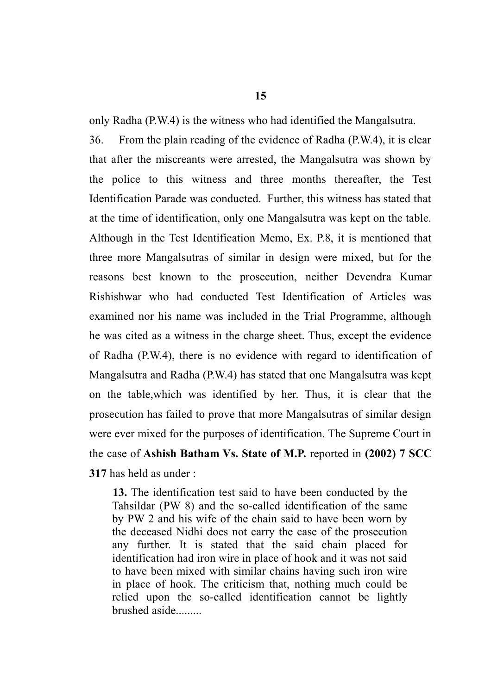only Radha (P.W.4) is the witness who had identified the Mangalsutra.

36. From the plain reading of the evidence of Radha (P.W.4), it is clear that after the miscreants were arrested, the Mangalsutra was shown by the police to this witness and three months thereafter, the Test Identification Parade was conducted. Further, this witness has stated that at the time of identification, only one Mangalsutra was kept on the table. Although in the Test Identification Memo, Ex. P.8, it is mentioned that three more Mangalsutras of similar in design were mixed, but for the reasons best known to the prosecution, neither Devendra Kumar Rishishwar who had conducted Test Identification of Articles was examined nor his name was included in the Trial Programme, although he was cited as a witness in the charge sheet. Thus, except the evidence of Radha (P.W.4), there is no evidence with regard to identification of Mangalsutra and Radha (P.W.4) has stated that one Mangalsutra was kept on the table,which was identified by her. Thus, it is clear that the prosecution has failed to prove that more Mangalsutras of similar design were ever mixed for the purposes of identification. The Supreme Court in the case of **Ashish Batham Vs. State of M.P.** reported in **(2002) 7 SCC 317** has held as under :

**13.** The identification test said to have been conducted by the Tahsildar (PW 8) and the so-called identification of the same by PW 2 and his wife of the chain said to have been worn by the deceased Nidhi does not carry the case of the prosecution any further. It is stated that the said chain placed for identification had iron wire in place of hook and it was not said to have been mixed with similar chains having such iron wire in place of hook. The criticism that, nothing much could be relied upon the so-called identification cannot be lightly brushed aside.........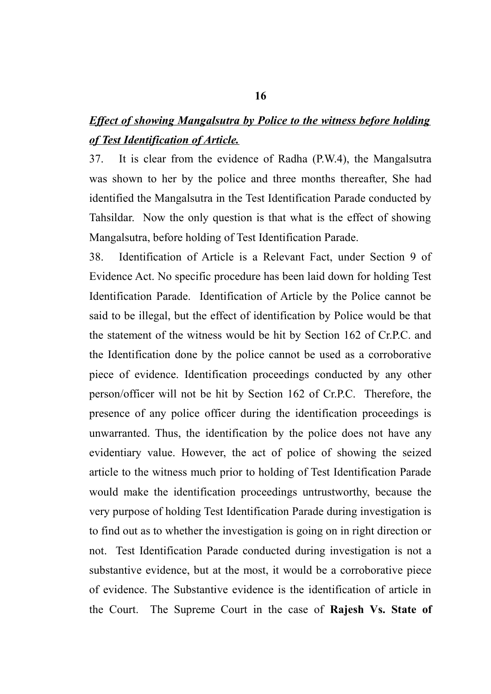# *Effect of showing Mangalsutra by Police to the witness before holding of Test Identification of Article.*

37. It is clear from the evidence of Radha (P.W.4), the Mangalsutra was shown to her by the police and three months thereafter, She had identified the Mangalsutra in the Test Identification Parade conducted by Tahsildar. Now the only question is that what is the effect of showing Mangalsutra, before holding of Test Identification Parade.

38. Identification of Article is a Relevant Fact, under Section 9 of Evidence Act. No specific procedure has been laid down for holding Test Identification Parade. Identification of Article by the Police cannot be said to be illegal, but the effect of identification by Police would be that the statement of the witness would be hit by Section 162 of Cr.P.C. and the Identification done by the police cannot be used as a corroborative piece of evidence. Identification proceedings conducted by any other person/officer will not be hit by Section 162 of Cr.P.C. Therefore, the presence of any police officer during the identification proceedings is unwarranted. Thus, the identification by the police does not have any evidentiary value. However, the act of police of showing the seized article to the witness much prior to holding of Test Identification Parade would make the identification proceedings untrustworthy, because the very purpose of holding Test Identification Parade during investigation is to find out as to whether the investigation is going on in right direction or not. Test Identification Parade conducted during investigation is not a substantive evidence, but at the most, it would be a corroborative piece of evidence. The Substantive evidence is the identification of article in the Court. The Supreme Court in the case of **Rajesh Vs. State of**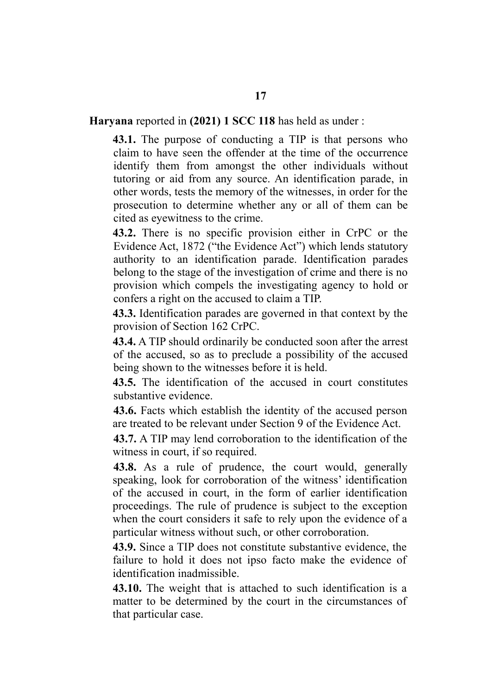**Haryana** reported in **(2021) 1 SCC 118** has held as under :

**43.1.** The purpose of conducting a TIP is that persons who claim to have seen the offender at the time of the occurrence identify them from amongst the other individuals without tutoring or aid from any source. An identification parade, in other words, tests the memory of the witnesses, in order for the prosecution to determine whether any or all of them can be cited as eyewitness to the crime.

**43.2.** There is no specific provision either in CrPC or the Evidence Act, 1872 ("the Evidence Act") which lends statutory authority to an identification parade. Identification parades belong to the stage of the investigation of crime and there is no provision which compels the investigating agency to hold or confers a right on the accused to claim a TIP.

**43.3.** Identification parades are governed in that context by the provision of Section 162 CrPC.

**43.4.** A TIP should ordinarily be conducted soon after the arrest of the accused, so as to preclude a possibility of the accused being shown to the witnesses before it is held.

**43.5.** The identification of the accused in court constitutes substantive evidence.

**43.6.** Facts which establish the identity of the accused person are treated to be relevant under Section 9 of the Evidence Act.

**43.7.** A TIP may lend corroboration to the identification of the witness in court, if so required.

**43.8.** As a rule of prudence, the court would, generally speaking, look for corroboration of the witness' identification of the accused in court, in the form of earlier identification proceedings. The rule of prudence is subject to the exception when the court considers it safe to rely upon the evidence of a particular witness without such, or other corroboration.

**43.9.** Since a TIP does not constitute substantive evidence, the failure to hold it does not ipso facto make the evidence of identification inadmissible.

**43.10.** The weight that is attached to such identification is a matter to be determined by the court in the circumstances of that particular case.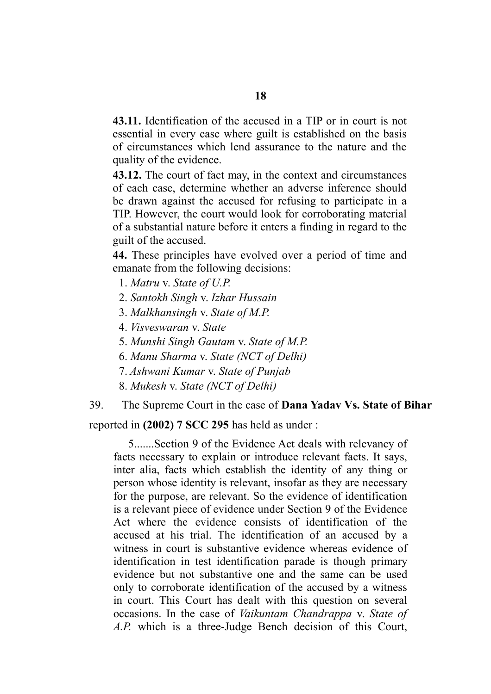**43.11.** Identification of the accused in a TIP or in court is not essential in every case where guilt is established on the basis of circumstances which lend assurance to the nature and the quality of the evidence.

**43.12.** The court of fact may, in the context and circumstances of each case, determine whether an adverse inference should be drawn against the accused for refusing to participate in a TIP. However, the court would look for corroborating material of a substantial nature before it enters a finding in regard to the guilt of the accused.

**44.** These principles have evolved over a period of time and emanate from the following decisions:

- 1. *Matru* v. *State of U.P.*
- 2. *Santokh Singh* v. *Izhar Hussain*
- 3. *Malkhansingh* v. *State of M.P.*
- 4. *Visveswaran* v. *State*
- 5. *Munshi Singh Gautam* v. *State of M.P.*
- 6. *Manu Sharma* v. *State (NCT of Delhi)*
- 7. *Ashwani Kumar* v. *State of Punjab*
- 8. *Mukesh* v. *State (NCT of Delhi)*

39. The Supreme Court in the case of **Dana Yadav Vs. State of Bihar**

reported in **(2002) 7 SCC 295** has held as under :

5.......Section 9 of the Evidence Act deals with relevancy of facts necessary to explain or introduce relevant facts. It says, inter alia, facts which establish the identity of any thing or person whose identity is relevant, insofar as they are necessary for the purpose, are relevant. So the evidence of identification is a relevant piece of evidence under Section 9 of the Evidence Act where the evidence consists of identification of the accused at his trial. The identification of an accused by a witness in court is substantive evidence whereas evidence of identification in test identification parade is though primary evidence but not substantive one and the same can be used only to corroborate identification of the accused by a witness in court. This Court has dealt with this question on several occasions. In the case of *Vaikuntam Chandrappa* v. *State of A.P.* which is a three-Judge Bench decision of this Court,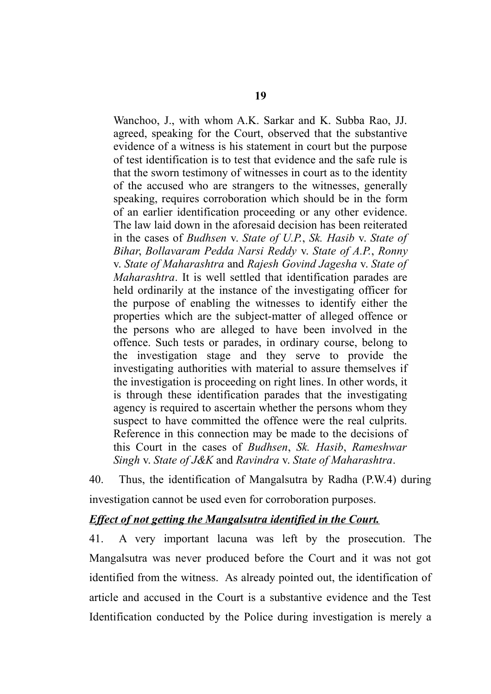Wanchoo, J., with whom A.K. Sarkar and K. Subba Rao, JJ. agreed, speaking for the Court, observed that the substantive evidence of a witness is his statement in court but the purpose of test identification is to test that evidence and the safe rule is that the sworn testimony of witnesses in court as to the identity of the accused who are strangers to the witnesses, generally speaking, requires corroboration which should be in the form of an earlier identification proceeding or any other evidence. The law laid down in the aforesaid decision has been reiterated in the cases of *Budhsen* v. *State of U.P.*, *Sk. Hasib* v. *State of Bihar*, *Bollavaram Pedda Narsi Reddy* v. *State of A.P.*, *Ronny* v. *State of Maharashtra* and *Rajesh Govind Jagesha* v. *State of Maharashtra*. It is well settled that identification parades are held ordinarily at the instance of the investigating officer for the purpose of enabling the witnesses to identify either the properties which are the subject-matter of alleged offence or the persons who are alleged to have been involved in the offence. Such tests or parades, in ordinary course, belong to the investigation stage and they serve to provide the investigating authorities with material to assure themselves if the investigation is proceeding on right lines. In other words, it is through these identification parades that the investigating agency is required to ascertain whether the persons whom they suspect to have committed the offence were the real culprits. Reference in this connection may be made to the decisions of this Court in the cases of *Budhsen*, *Sk. Hasib*, *Rameshwar Singh* v. *State of J&K* and *Ravindra* v. *State of Maharashtra*.

40. Thus, the identification of Mangalsutra by Radha (P.W.4) during investigation cannot be used even for corroboration purposes.

### *Effect of not getting the Mangalsutra identified in the Court.*

41. A very important lacuna was left by the prosecution. The Mangalsutra was never produced before the Court and it was not got identified from the witness. As already pointed out, the identification of article and accused in the Court is a substantive evidence and the Test Identification conducted by the Police during investigation is merely a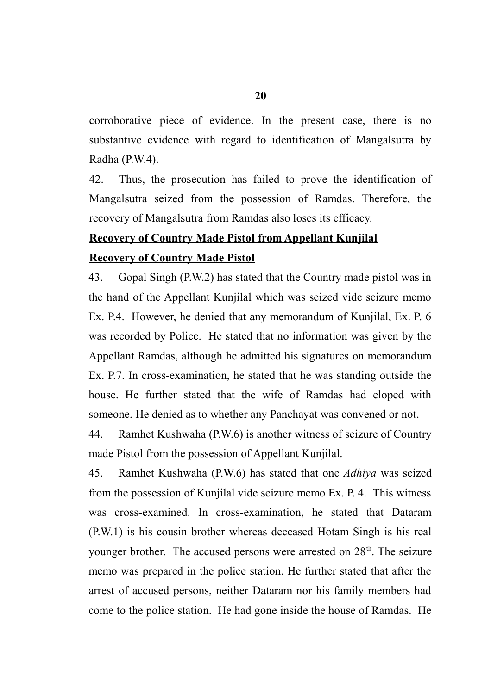corroborative piece of evidence. In the present case, there is no substantive evidence with regard to identification of Mangalsutra by Radha (P.W.4).

42. Thus, the prosecution has failed to prove the identification of Mangalsutra seized from the possession of Ramdas. Therefore, the recovery of Mangalsutra from Ramdas also loses its efficacy.

## **Recovery of Country Made Pistol from Appellant Kunjilal**

## **Recovery of Country Made Pistol**

43. Gopal Singh (P.W.2) has stated that the Country made pistol was in the hand of the Appellant Kunjilal which was seized vide seizure memo Ex. P.4. However, he denied that any memorandum of Kunjilal, Ex. P. 6 was recorded by Police. He stated that no information was given by the Appellant Ramdas, although he admitted his signatures on memorandum Ex. P.7. In cross-examination, he stated that he was standing outside the house. He further stated that the wife of Ramdas had eloped with someone. He denied as to whether any Panchayat was convened or not.

44. Ramhet Kushwaha (P.W.6) is another witness of seizure of Country made Pistol from the possession of Appellant Kunjilal.

45. Ramhet Kushwaha (P.W.6) has stated that one *Adhiya* was seized from the possession of Kunjilal vide seizure memo Ex. P. 4. This witness was cross-examined. In cross-examination, he stated that Dataram (P.W.1) is his cousin brother whereas deceased Hotam Singh is his real younger brother. The accused persons were arrested on  $28<sup>th</sup>$ . The seizure memo was prepared in the police station. He further stated that after the arrest of accused persons, neither Dataram nor his family members had come to the police station. He had gone inside the house of Ramdas. He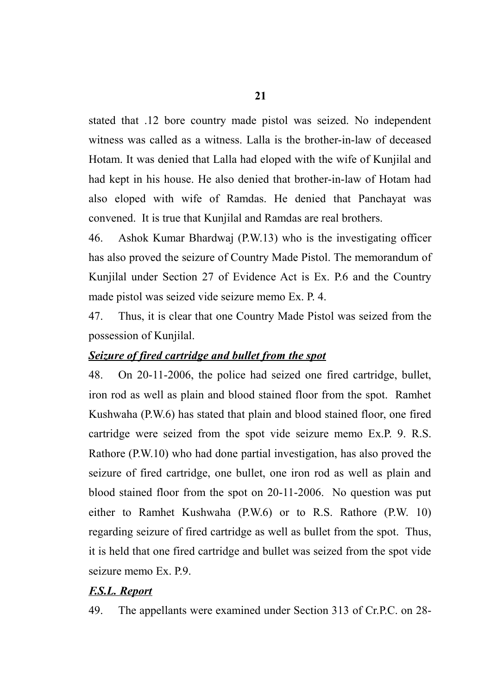stated that .12 bore country made pistol was seized. No independent witness was called as a witness. Lalla is the brother-in-law of deceased Hotam. It was denied that Lalla had eloped with the wife of Kunjilal and had kept in his house. He also denied that brother-in-law of Hotam had also eloped with wife of Ramdas. He denied that Panchayat was convened. It is true that Kunjilal and Ramdas are real brothers.

46. Ashok Kumar Bhardwaj (P.W.13) who is the investigating officer has also proved the seizure of Country Made Pistol. The memorandum of Kunjilal under Section 27 of Evidence Act is Ex. P.6 and the Country made pistol was seized vide seizure memo Ex. P. 4.

47. Thus, it is clear that one Country Made Pistol was seized from the possession of Kunjilal.

# *Seizure of fired cartridge and bullet from the spot*

48. On 20-11-2006, the police had seized one fired cartridge, bullet, iron rod as well as plain and blood stained floor from the spot. Ramhet Kushwaha (P.W.6) has stated that plain and blood stained floor, one fired cartridge were seized from the spot vide seizure memo Ex.P. 9. R.S. Rathore (P.W.10) who had done partial investigation, has also proved the seizure of fired cartridge, one bullet, one iron rod as well as plain and blood stained floor from the spot on 20-11-2006. No question was put either to Ramhet Kushwaha (P.W.6) or to R.S. Rathore (P.W. 10) regarding seizure of fired cartridge as well as bullet from the spot. Thus, it is held that one fired cartridge and bullet was seized from the spot vide seizure memo Ex. P.9.

# *F.S.L. Report*

49. The appellants were examined under Section 313 of Cr.P.C. on 28-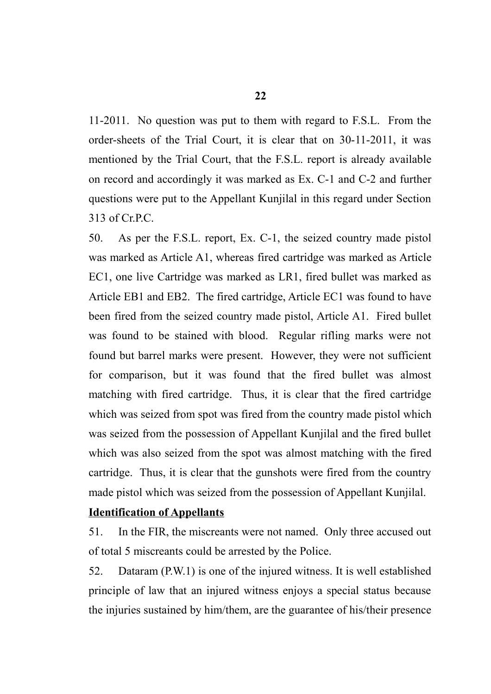11-2011. No question was put to them with regard to F.S.L. From the order-sheets of the Trial Court, it is clear that on 30-11-2011, it was mentioned by the Trial Court, that the F.S.L. report is already available on record and accordingly it was marked as Ex. C-1 and C-2 and further questions were put to the Appellant Kunjilal in this regard under Section 313 of Cr.P.C.

50. As per the F.S.L. report, Ex. C-1, the seized country made pistol was marked as Article A1, whereas fired cartridge was marked as Article EC1, one live Cartridge was marked as LR1, fired bullet was marked as Article EB1 and EB2. The fired cartridge, Article EC1 was found to have been fired from the seized country made pistol, Article A1. Fired bullet was found to be stained with blood. Regular rifling marks were not found but barrel marks were present. However, they were not sufficient for comparison, but it was found that the fired bullet was almost matching with fired cartridge. Thus, it is clear that the fired cartridge which was seized from spot was fired from the country made pistol which was seized from the possession of Appellant Kunjilal and the fired bullet which was also seized from the spot was almost matching with the fired cartridge. Thus, it is clear that the gunshots were fired from the country made pistol which was seized from the possession of Appellant Kunjilal.

### **Identification of Appellants**

51. In the FIR, the miscreants were not named. Only three accused out of total 5 miscreants could be arrested by the Police.

52. Dataram (P.W.1) is one of the injured witness. It is well established principle of law that an injured witness enjoys a special status because the injuries sustained by him/them, are the guarantee of his/their presence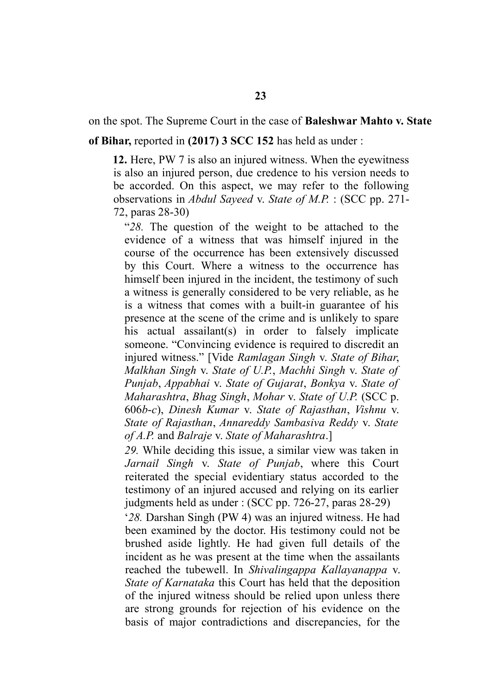**of Bihar,** reported in **(2017) 3 SCC 152** has held as under :

**12.** Here, PW 7 is also an injured witness. When the eyewitness is also an injured person, due credence to his version needs to be accorded. On this aspect, we may refer to the following observations in *Abdul Sayeed* v. *State of M.P.* : (SCC pp. 271- 72, paras 28-30)

"*28.* The question of the weight to be attached to the evidence of a witness that was himself injured in the course of the occurrence has been extensively discussed by this Court. Where a witness to the occurrence has himself been injured in the incident, the testimony of such a witness is generally considered to be very reliable, as he is a witness that comes with a built-in guarantee of his presence at the scene of the crime and is unlikely to spare his actual assailant(s) in order to falsely implicate someone. "Convincing evidence is required to discredit an injured witness." [Vide *Ramlagan Singh* v. *State of Bihar*, *Malkhan Singh* v. *State of U.P.*, *Machhi Singh* v. *State of Punjab*, *Appabhai* v. *State of Gujarat*, *Bonkya* v. *State of Maharashtra*, *Bhag Singh*, *Mohar* v. *State of U.P.* (SCC p. 606*b*-*c*), *Dinesh Kumar* v. *State of Rajasthan*, *Vishnu* v. *State of Rajasthan*, *Annareddy Sambasiva Reddy* v. *State of A.P.* and *Balraje* v. *State of Maharashtra*.]

*29.* While deciding this issue, a similar view was taken in *Jarnail Singh* v. *State of Punjab*, where this Court reiterated the special evidentiary status accorded to the testimony of an injured accused and relying on its earlier judgments held as under : (SCC pp. 726-27, paras 28-29)

'*28.* Darshan Singh (PW 4) was an injured witness. He had been examined by the doctor. His testimony could not be brushed aside lightly. He had given full details of the incident as he was present at the time when the assailants reached the tubewell. In *Shivalingappa Kallayanappa* v. *State of Karnataka* this Court has held that the deposition of the injured witness should be relied upon unless there are strong grounds for rejection of his evidence on the basis of major contradictions and discrepancies, for the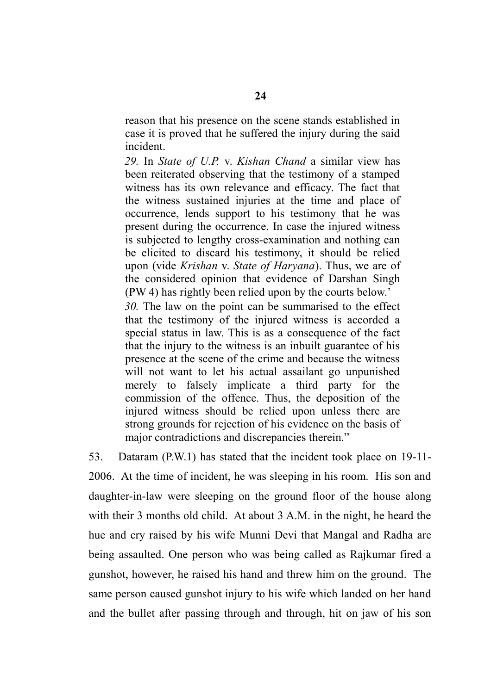reason that his presence on the scene stands established in case it is proved that he suffered the injury during the said incident.

*29.* In *State of U.P.* v. *Kishan Chand* a similar view has been reiterated observing that the testimony of a stamped witness has its own relevance and efficacy. The fact that the witness sustained injuries at the time and place of occurrence, lends support to his testimony that he was present during the occurrence. In case the injured witness is subjected to lengthy cross-examination and nothing can be elicited to discard his testimony, it should be relied upon (vide *Krishan* v. *State of Haryana*). Thus, we are of the considered opinion that evidence of Darshan Singh (PW 4) has rightly been relied upon by the courts below.'

*30.* The law on the point can be summarised to the effect that the testimony of the injured witness is accorded a special status in law. This is as a consequence of the fact that the injury to the witness is an inbuilt guarantee of his presence at the scene of the crime and because the witness will not want to let his actual assailant go unpunished merely to falsely implicate a third party for the commission of the offence. Thus, the deposition of the injured witness should be relied upon unless there are strong grounds for rejection of his evidence on the basis of major contradictions and discrepancies therein."

53. Dataram (P.W.1) has stated that the incident took place on 19-11- 2006. At the time of incident, he was sleeping in his room. His son and daughter-in-law were sleeping on the ground floor of the house along with their 3 months old child. At about 3 A.M. in the night, he heard the hue and cry raised by his wife Munni Devi that Mangal and Radha are being assaulted. One person who was being called as Rajkumar fired a gunshot, however, he raised his hand and threw him on the ground. The same person caused gunshot injury to his wife which landed on her hand and the bullet after passing through and through, hit on jaw of his son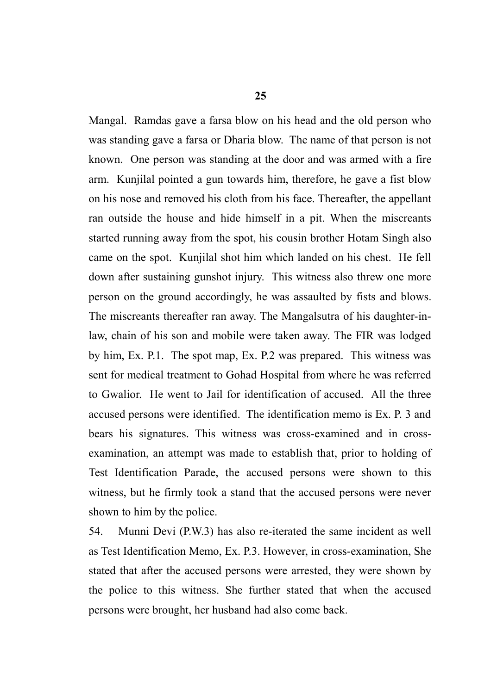Mangal. Ramdas gave a farsa blow on his head and the old person who was standing gave a farsa or Dharia blow. The name of that person is not known. One person was standing at the door and was armed with a fire arm. Kunjilal pointed a gun towards him, therefore, he gave a fist blow on his nose and removed his cloth from his face. Thereafter, the appellant ran outside the house and hide himself in a pit. When the miscreants started running away from the spot, his cousin brother Hotam Singh also came on the spot. Kunjilal shot him which landed on his chest. He fell down after sustaining gunshot injury. This witness also threw one more person on the ground accordingly, he was assaulted by fists and blows. The miscreants thereafter ran away. The Mangalsutra of his daughter-inlaw, chain of his son and mobile were taken away. The FIR was lodged by him, Ex. P.1. The spot map, Ex. P.2 was prepared. This witness was sent for medical treatment to Gohad Hospital from where he was referred to Gwalior. He went to Jail for identification of accused. All the three accused persons were identified. The identification memo is Ex. P. 3 and bears his signatures. This witness was cross-examined and in crossexamination, an attempt was made to establish that, prior to holding of Test Identification Parade, the accused persons were shown to this witness, but he firmly took a stand that the accused persons were never shown to him by the police.

54. Munni Devi (P.W.3) has also re-iterated the same incident as well as Test Identification Memo, Ex. P.3. However, in cross-examination, She stated that after the accused persons were arrested, they were shown by the police to this witness. She further stated that when the accused persons were brought, her husband had also come back.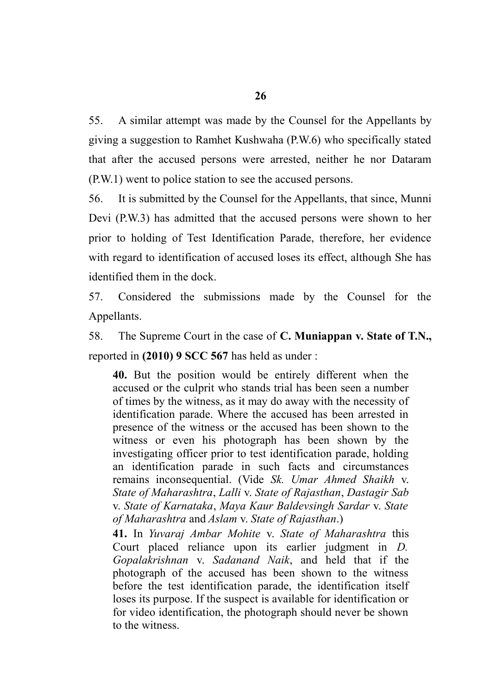55. A similar attempt was made by the Counsel for the Appellants by giving a suggestion to Ramhet Kushwaha (P.W.6) who specifically stated that after the accused persons were arrested, neither he nor Dataram (P.W.1) went to police station to see the accused persons.

56. It is submitted by the Counsel for the Appellants, that since, Munni Devi (P.W.3) has admitted that the accused persons were shown to her prior to holding of Test Identification Parade, therefore, her evidence with regard to identification of accused loses its effect, although She has identified them in the dock.

57. Considered the submissions made by the Counsel for the Appellants.

58. The Supreme Court in the case of **C. Muniappan v. State of T.N.,** reported in **(2010) 9 SCC 567** has held as under :

**40.** But the position would be entirely different when the accused or the culprit who stands trial has been seen a number of times by the witness, as it may do away with the necessity of identification parade. Where the accused has been arrested in presence of the witness or the accused has been shown to the witness or even his photograph has been shown by the investigating officer prior to test identification parade, holding an identification parade in such facts and circumstances remains inconsequential. (Vide *Sk. Umar Ahmed Shaikh* v. *State of Maharashtra*, *Lalli* v. *State of Rajasthan*, *Dastagir Sab* v. *State of Karnataka*, *Maya Kaur Baldevsingh Sardar* v. *State of Maharashtra* and *Aslam* v. *State of Rajasthan*.)

**41.** In *Yuvaraj Ambar Mohite* v. *State of Maharashtra* this Court placed reliance upon its earlier judgment in *D. Gopalakrishnan* v. *Sadanand Naik*, and held that if the photograph of the accused has been shown to the witness before the test identification parade, the identification itself loses its purpose. If the suspect is available for identification or for video identification, the photograph should never be shown to the witness.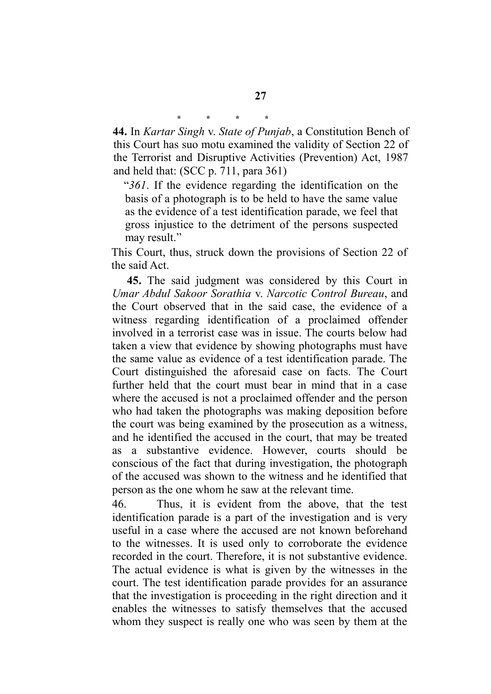**\* \* \* \* 44.** In *Kartar Singh* v. *State of Punjab*, a Constitution Bench of

this Court has suo motu examined the validity of Section 22 of the Terrorist and Disruptive Activities (Prevention) Act, 1987 and held that: (SCC p. 711, para 361)

"*361*. If the evidence regarding the identification on the basis of a photograph is to be held to have the same value as the evidence of a test identification parade, we feel that gross injustice to the detriment of the persons suspected may result."

This Court, thus, struck down the provisions of Section 22 of the said Act.

**45.** The said judgment was considered by this Court in *Umar Abdul Sakoor Sorathia* v. *Narcotic Control Bureau*, and the Court observed that in the said case, the evidence of a witness regarding identification of a proclaimed offender involved in a terrorist case was in issue. The courts below had taken a view that evidence by showing photographs must have the same value as evidence of a test identification parade. The Court distinguished the aforesaid case on facts. The Court further held that the court must bear in mind that in a case where the accused is not a proclaimed offender and the person who had taken the photographs was making deposition before the court was being examined by the prosecution as a witness, and he identified the accused in the court, that may be treated as a substantive evidence. However, courts should be conscious of the fact that during investigation, the photograph of the accused was shown to the witness and he identified that person as the one whom he saw at the relevant time.

46. Thus, it is evident from the above, that the test identification parade is a part of the investigation and is very useful in a case where the accused are not known beforehand to the witnesses. It is used only to corroborate the evidence recorded in the court. Therefore, it is not substantive evidence. The actual evidence is what is given by the witnesses in the court. The test identification parade provides for an assurance that the investigation is proceeding in the right direction and it enables the witnesses to satisfy themselves that the accused whom they suspect is really one who was seen by them at the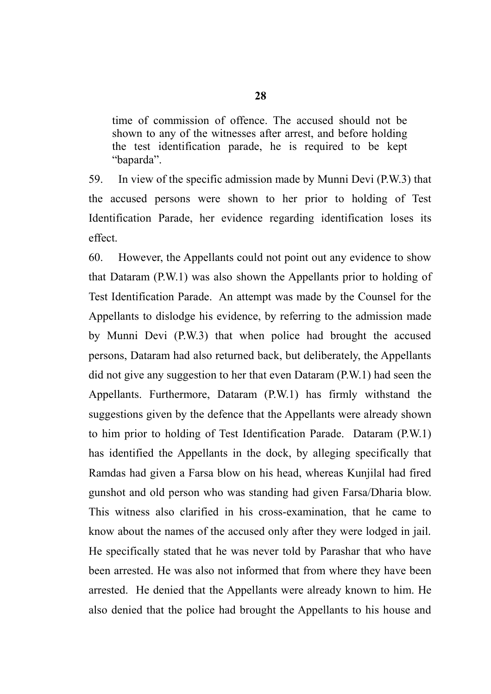time of commission of offence. The accused should not be shown to any of the witnesses after arrest, and before holding the test identification parade, he is required to be kept "baparda".

59. In view of the specific admission made by Munni Devi (P.W.3) that the accused persons were shown to her prior to holding of Test Identification Parade, her evidence regarding identification loses its effect.

60. However, the Appellants could not point out any evidence to show that Dataram (P.W.1) was also shown the Appellants prior to holding of Test Identification Parade. An attempt was made by the Counsel for the Appellants to dislodge his evidence, by referring to the admission made by Munni Devi (P.W.3) that when police had brought the accused persons, Dataram had also returned back, but deliberately, the Appellants did not give any suggestion to her that even Dataram (P.W.1) had seen the Appellants. Furthermore, Dataram (P.W.1) has firmly withstand the suggestions given by the defence that the Appellants were already shown to him prior to holding of Test Identification Parade. Dataram (P.W.1) has identified the Appellants in the dock, by alleging specifically that Ramdas had given a Farsa blow on his head, whereas Kunjilal had fired gunshot and old person who was standing had given Farsa/Dharia blow. This witness also clarified in his cross-examination, that he came to know about the names of the accused only after they were lodged in jail. He specifically stated that he was never told by Parashar that who have been arrested. He was also not informed that from where they have been arrested. He denied that the Appellants were already known to him. He also denied that the police had brought the Appellants to his house and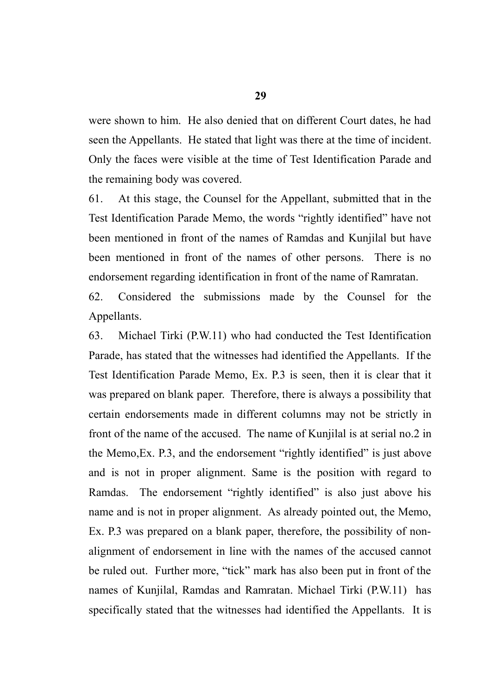were shown to him. He also denied that on different Court dates, he had seen the Appellants. He stated that light was there at the time of incident. Only the faces were visible at the time of Test Identification Parade and the remaining body was covered.

61. At this stage, the Counsel for the Appellant, submitted that in the Test Identification Parade Memo, the words "rightly identified" have not been mentioned in front of the names of Ramdas and Kunjilal but have been mentioned in front of the names of other persons. There is no endorsement regarding identification in front of the name of Ramratan.

62. Considered the submissions made by the Counsel for the Appellants.

63. Michael Tirki (P.W.11) who had conducted the Test Identification Parade, has stated that the witnesses had identified the Appellants. If the Test Identification Parade Memo, Ex. P.3 is seen, then it is clear that it was prepared on blank paper. Therefore, there is always a possibility that certain endorsements made in different columns may not be strictly in front of the name of the accused. The name of Kunjilal is at serial no.2 in the Memo,Ex. P.3, and the endorsement "rightly identified" is just above and is not in proper alignment. Same is the position with regard to Ramdas. The endorsement "rightly identified" is also just above his name and is not in proper alignment. As already pointed out, the Memo, Ex. P.3 was prepared on a blank paper, therefore, the possibility of nonalignment of endorsement in line with the names of the accused cannot be ruled out. Further more, "tick" mark has also been put in front of the names of Kunjilal, Ramdas and Ramratan. Michael Tirki (P.W.11) has specifically stated that the witnesses had identified the Appellants. It is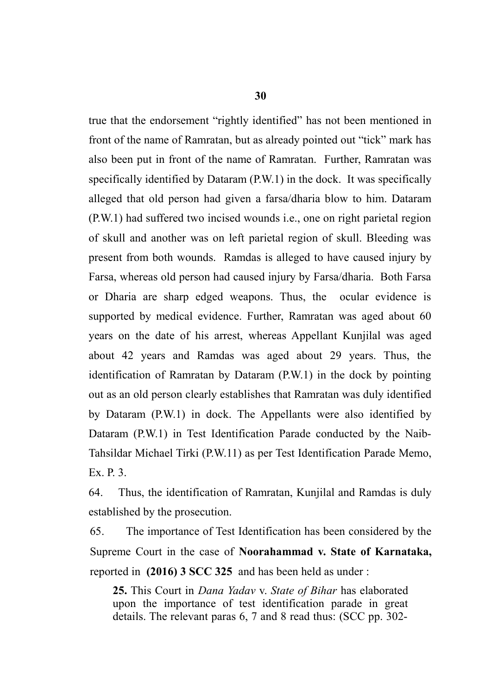true that the endorsement "rightly identified" has not been mentioned in front of the name of Ramratan, but as already pointed out "tick" mark has also been put in front of the name of Ramratan. Further, Ramratan was specifically identified by Dataram (P.W.1) in the dock. It was specifically alleged that old person had given a farsa/dharia blow to him. Dataram (P.W.1) had suffered two incised wounds i.e., one on right parietal region of skull and another was on left parietal region of skull. Bleeding was present from both wounds. Ramdas is alleged to have caused injury by Farsa, whereas old person had caused injury by Farsa/dharia. Both Farsa or Dharia are sharp edged weapons. Thus, the ocular evidence is supported by medical evidence. Further, Ramratan was aged about 60 years on the date of his arrest, whereas Appellant Kunjilal was aged about 42 years and Ramdas was aged about 29 years. Thus, the identification of Ramratan by Dataram (P.W.1) in the dock by pointing out as an old person clearly establishes that Ramratan was duly identified by Dataram (P.W.1) in dock. The Appellants were also identified by Dataram (P.W.1) in Test Identification Parade conducted by the Naib-Tahsildar Michael Tirki (P.W.11) as per Test Identification Parade Memo, Ex. P. 3.

64. Thus, the identification of Ramratan, Kunjilal and Ramdas is duly established by the prosecution.

65. The importance of Test Identification has been considered by the Supreme Court in the case of **Noorahammad v. State of Karnataka,** reported in **(2016) 3 SCC 325** and has been held as under :

**25.** This Court in *Dana Yadav* v. *State of Bihar* has elaborated upon the importance of test identification parade in great details. The relevant paras 6, 7 and 8 read thus: (SCC pp. 302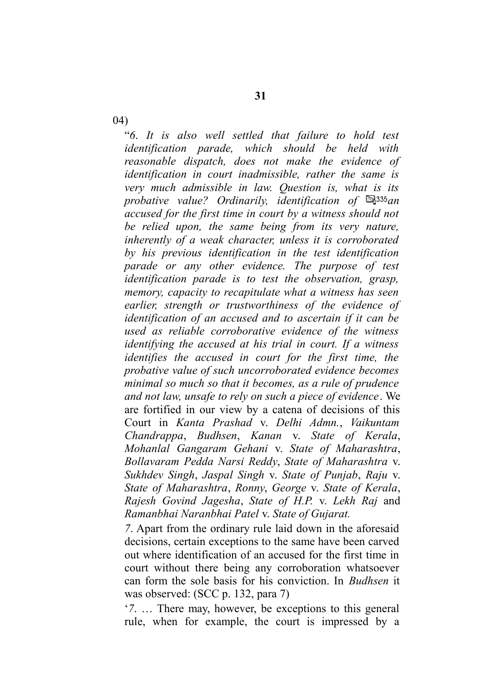04)

"*6*. *It is also well settled that failure to hold test identification parade, which should be held with reasonable dispatch, does not make the evidence of identification in court inadmissible, rather the same is very much admissible in law. Question is, what is its probative value? Ordinarily, identification of*  $\mathbb{R}^{335}$ *an accused for the first time in court by a witness should not be relied upon, the same being from its very nature, inherently of a weak character, unless it is corroborated by his previous identification in the test identification parade or any other evidence. The purpose of test identification parade is to test the observation, grasp, memory, capacity to recapitulate what a witness has seen earlier, strength or trustworthiness of the evidence of identification of an accused and to ascertain if it can be used as reliable corroborative evidence of the witness identifying the accused at his trial in court. If a witness identifies the accused in court for the first time, the probative value of such uncorroborated evidence becomes minimal so much so that it becomes, as a rule of prudence and not law, unsafe to rely on such a piece of evidence*. We are fortified in our view by a catena of decisions of this Court in *Kanta Prashad* v. *Delhi Admn.*, *Vaikuntam Chandrappa*, *Budhsen*, *Kanan* v. *State of Kerala*, *Mohanlal Gangaram Gehani* v. *State of Maharashtra*, *Bollavaram Pedda Narsi Reddy*, *State of Maharashtra* v. *Sukhdev Singh*, *Jaspal Singh* v. *State of Punjab*, *Raju* v. *State of Maharashtra*, *Ronny*, *George* v. *State of Kerala*, *Rajesh Govind Jagesha*, *State of H.P.* v. *Lekh Raj* and *Ramanbhai Naranbhai Patel* v. *State of Gujarat.*

*7*. Apart from the ordinary rule laid down in the aforesaid decisions, certain exceptions to the same have been carved out where identification of an accused for the first time in court without there being any corroboration whatsoever can form the sole basis for his conviction. In *Budhsen* it was observed: (SCC p. 132, para 7)

'*7*. … There may, however, be exceptions to this general rule, when for example, the court is impressed by a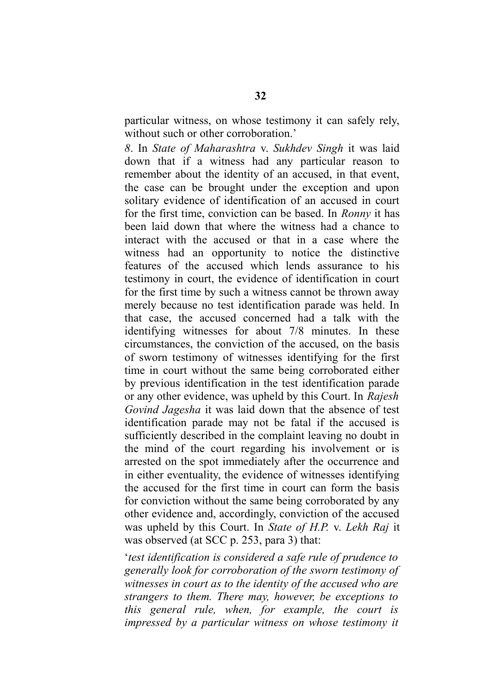particular witness, on whose testimony it can safely rely, without such or other corroboration.'

*8*. In *State of Maharashtra* v. *Sukhdev Singh* it was laid down that if a witness had any particular reason to remember about the identity of an accused, in that event, the case can be brought under the exception and upon solitary evidence of identification of an accused in court for the first time, conviction can be based. In *Ronny* it has been laid down that where the witness had a chance to interact with the accused or that in a case where the witness had an opportunity to notice the distinctive features of the accused which lends assurance to his testimony in court, the evidence of identification in court for the first time by such a witness cannot be thrown away merely because no test identification parade was held. In that case, the accused concerned had a talk with the identifying witnesses for about 7/8 minutes. In these circumstances, the conviction of the accused, on the basis of sworn testimony of witnesses identifying for the first time in court without the same being corroborated either by previous identification in the test identification parade or any other evidence, was upheld by this Court. In *Rajesh Govind Jagesha* it was laid down that the absence of test identification parade may not be fatal if the accused is sufficiently described in the complaint leaving no doubt in the mind of the court regarding his involvement or is arrested on the spot immediately after the occurrence and in either eventuality, the evidence of witnesses identifying the accused for the first time in court can form the basis for conviction without the same being corroborated by any other evidence and, accordingly, conviction of the accused was upheld by this Court. In *State of H.P.* v. *Lekh Raj* it was observed (at SCC p. 253, para 3) that:

'*test identification is considered a safe rule of prudence to generally look for corroboration of the sworn testimony of witnesses in court as to the identity of the accused who are strangers to them. There may, however, be exceptions to this general rule, when, for example, the court is impressed by a particular witness on whose testimony it*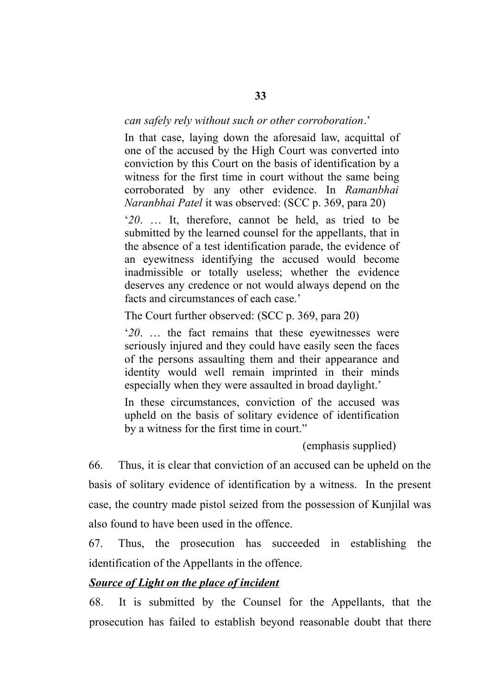#### *can safely rely without such or other corroboration*.'

In that case, laying down the aforesaid law, acquittal of one of the accused by the High Court was converted into conviction by this Court on the basis of identification by a witness for the first time in court without the same being corroborated by any other evidence. In *Ramanbhai Naranbhai Patel* it was observed: (SCC p. 369, para 20)

'*20*. … It, therefore, cannot be held, as tried to be submitted by the learned counsel for the appellants, that in the absence of a test identification parade, the evidence of an eyewitness identifying the accused would become inadmissible or totally useless; whether the evidence deserves any credence or not would always depend on the facts and circumstances of each case.'

The Court further observed: (SCC p. 369, para 20)

'*20*. … the fact remains that these eyewitnesses were seriously injured and they could have easily seen the faces of the persons assaulting them and their appearance and identity would well remain imprinted in their minds especially when they were assaulted in broad daylight.'

In these circumstances, conviction of the accused was upheld on the basis of solitary evidence of identification by a witness for the first time in court."

(emphasis supplied)

66. Thus, it is clear that conviction of an accused can be upheld on the basis of solitary evidence of identification by a witness. In the present case, the country made pistol seized from the possession of Kunjilal was also found to have been used in the offence.

67. Thus, the prosecution has succeeded in establishing the identification of the Appellants in the offence.

#### *Source of Light on the place of incident*

68. It is submitted by the Counsel for the Appellants, that the prosecution has failed to establish beyond reasonable doubt that there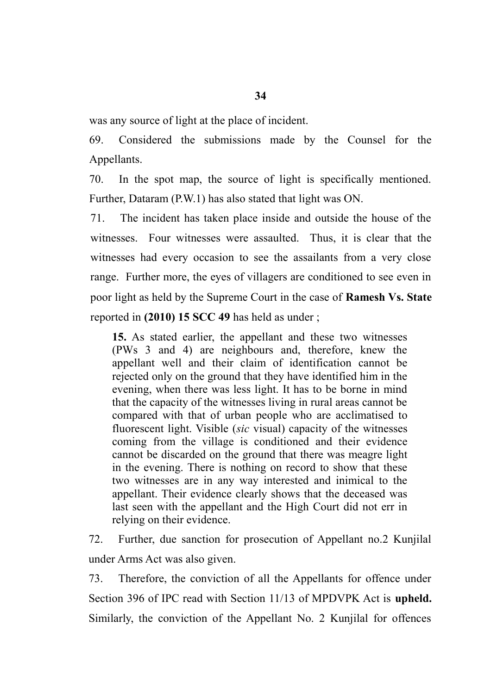was any source of light at the place of incident.

69. Considered the submissions made by the Counsel for the Appellants.

70. In the spot map, the source of light is specifically mentioned. Further, Dataram (P.W.1) has also stated that light was ON.

71. The incident has taken place inside and outside the house of the witnesses. Four witnesses were assaulted. Thus, it is clear that the witnesses had every occasion to see the assailants from a very close range. Further more, the eyes of villagers are conditioned to see even in poor light as held by the Supreme Court in the case of **Ramesh Vs. State** reported in **(2010) 15 SCC 49** has held as under ;

**15.** As stated earlier, the appellant and these two witnesses (PWs 3 and 4) are neighbours and, therefore, knew the appellant well and their claim of identification cannot be rejected only on the ground that they have identified him in the evening, when there was less light. It has to be borne in mind that the capacity of the witnesses living in rural areas cannot be compared with that of urban people who are acclimatised to fluorescent light. Visible (*sic* visual) capacity of the witnesses coming from the village is conditioned and their evidence cannot be discarded on the ground that there was meagre light in the evening. There is nothing on record to show that these two witnesses are in any way interested and inimical to the appellant. Their evidence clearly shows that the deceased was last seen with the appellant and the High Court did not err in relying on their evidence.

72. Further, due sanction for prosecution of Appellant no.2 Kunjilal under Arms Act was also given.

73. Therefore, the conviction of all the Appellants for offence under Section 396 of IPC read with Section 11/13 of MPDVPK Act is **upheld.** Similarly, the conviction of the Appellant No. 2 Kunjilal for offences